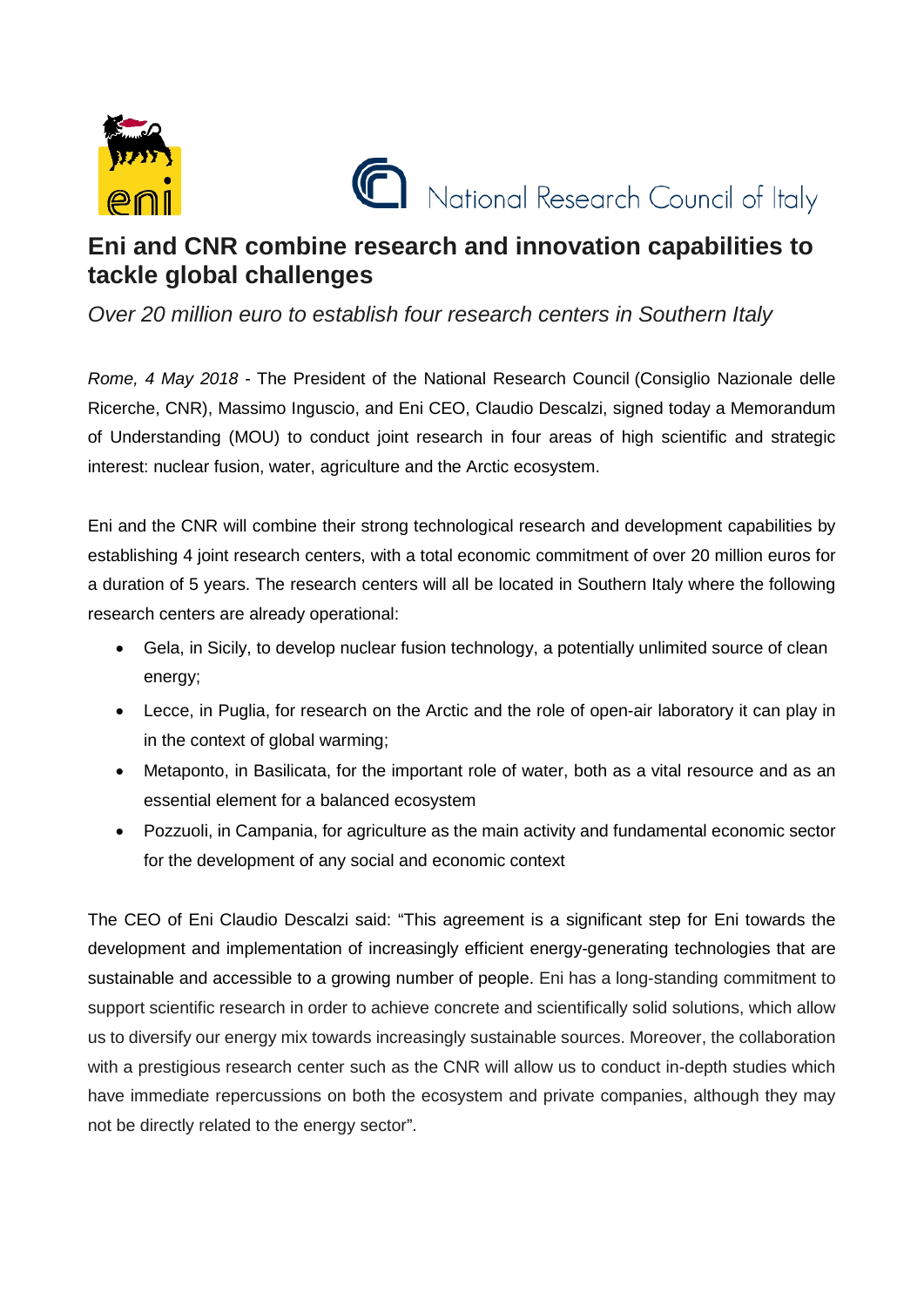



## **Eni and CNR combine research and innovation capabilities to tackle global challenges**

*Over 20 million euro to establish four research centers in Southern Italy*

*Rome, 4 May 2018 -* The President of the National Research Council (Consiglio Nazionale delle Ricerche, CNR), Massimo Inguscio, and Eni CEO, Claudio Descalzi, signed today a Memorandum of Understanding (MOU) to conduct joint research in four areas of high scientific and strategic interest: nuclear fusion, water, agriculture and the Arctic ecosystem.

Eni and the CNR will combine their strong technological research and development capabilities by establishing 4 joint research centers, with a total economic commitment of over 20 million euros for a duration of 5 years. The research centers will all be located in Southern Italy where the following research centers are already operational:

- Gela, in Sicily, to develop nuclear fusion technology, a potentially unlimited source of clean energy;
- Lecce, in Puglia, for research on the Arctic and the role of open-air laboratory it can play in in the context of global warming;
- Metaponto, in Basilicata, for the important role of water, both as a vital resource and as an essential element for a balanced ecosystem
- Pozzuoli, in Campania, for agriculture as the main activity and fundamental economic sector for the development of any social and economic context

The CEO of Eni Claudio Descalzi said: "This agreement is a significant step for Eni towards the development and implementation of increasingly efficient energy-generating technologies that are sustainable and accessible to a growing number of people. Eni has a long-standing commitment to support scientific research in order to achieve concrete and scientifically solid solutions, which allow us to diversify our energy mix towards increasingly sustainable sources. Moreover, the collaboration with a prestigious research center such as the CNR will allow us to conduct in-depth studies which have immediate repercussions on both the ecosystem and private companies, although they may not be directly related to the energy sector".